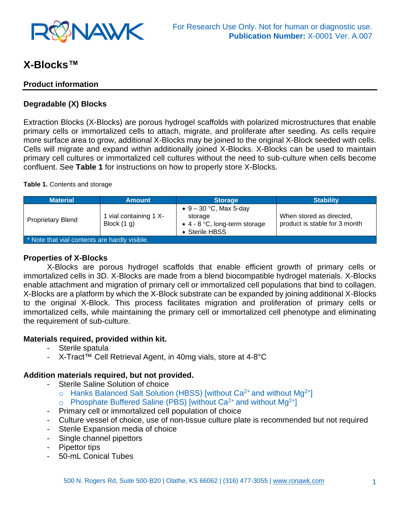

# **X-Blocks™**

### **Product information**

### **Degradable (X) Blocks**

Extraction Blocks (X-Blocks) are porous hydrogel scaffolds with polarized microstructures that enable primary cells or immortalized cells to attach, migrate, and proliferate after seeding. As cells require more surface area to grow, additional X-Blocks may be joined to the original X-Block seeded with cells. Cells will migrate and expand within additionally joined X-Blocks. X-Blocks can be used to maintain primary cell cultures or immortalized cell cultures without the need to sub-culture when cells become confluent. See **Table 1** for instructions on how to properly store X-Blocks.

#### **Table 1.** Contents and storage

| <b>Material</b>                               | <b>Amount</b>                           | <b>Storage</b>                                                                                 | <b>Stability</b>                                          |
|-----------------------------------------------|-----------------------------------------|------------------------------------------------------------------------------------------------|-----------------------------------------------------------|
| <b>Proprietary Blend</b>                      | I vial containing 1 X-<br>Block $(1 g)$ | • $9 - 30$ °C, Max 5-day<br>storage<br>$\bullet$ 4 - 8 °C, long-term storage<br>• Sterile HBSS | When stored as directed,<br>product is stable for 3 month |
| * Note that vial contents are hardly visible. |                                         |                                                                                                |                                                           |

#### **Properties of X-Blocks**

X-Blocks are porous hydrogel scaffolds that enable efficient growth of primary cells or immortalized cells in 3D. X-Blocks are made from a blend biocompatible hydrogel materials. X-Blocks enable attachment and migration of primary cell or immortalized cell populations that bind to collagen. X-Blocks are a platform by which the X-Block substrate can be expanded by joining additional X-Blocks to the original X-Block. This process facilitates migration and proliferation of primary cells or immortalized cells, while maintaining the primary cell or immortalized cell phenotype and eliminating the requirement of sub-culture.

#### **Materials required, provided within kit.**

- Sterile spatula
- X-Tract™ Cell Retrieval Agent, in 40mg vials, store at 4-8°C

#### **Addition materials required, but not provided.**

- Sterile Saline Solution of choice
	- $\circ$  Hanks Balanced Salt Solution (HBSS) [without Ca<sup>2+</sup> and without Mg<sup>2+</sup>]
	- $\circ$  Phosphate Buffered Saline (PBS) [without Ca<sup>2+</sup> and without Mg<sup>2+</sup>]
- Primary cell or immortalized cell population of choice
- Culture vessel of choice, use of non-tissue culture plate is recommended but not required
- Sterile Expansion media of choice
- Single channel pipettors
- Pipettor tips
- 50-mL Conical Tubes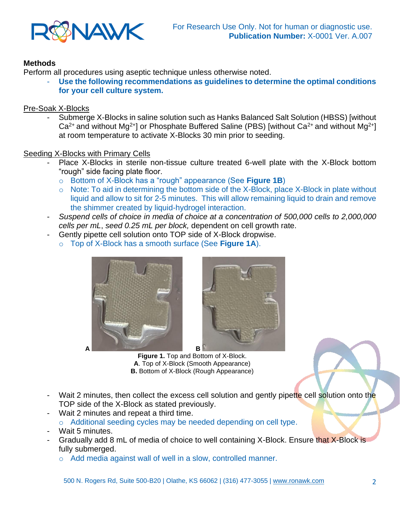

# **Methods**

Perform all procedures using aseptic technique unless otherwise noted.

Use the following recommendations as guidelines to determine the optimal conditions **for your cell culture system.** 

# Pre-Soak X-Blocks

- Submerge X-Blocks in saline solution such as Hanks Balanced Salt Solution (HBSS) [without  $Ca^{2+}$  and without Mg<sup>2+</sup>] or Phosphate Buffered Saline (PBS) [without Ca<sup>2+</sup> and without Mg<sup>2+</sup>] at room temperature to activate X-Blocks 30 min prior to seeding.

# Seeding X-Blocks with Primary Cells

- Place X-Blocks in sterile non-tissue culture treated 6-well plate with the X-Block bottom "rough" side facing plate floor.
	- o Bottom of X-Block has a "rough" appearance (See **Figure 1B**)
	- o Note: To aid in determining the bottom side of the X-Block, place X-Block in plate without liquid and allow to sit for 2-5 minutes. This will allow remaining liquid to drain and remove the shimmer created by liquid-hydrogel interaction.
- *Suspend cells of choice in media of choice at a concentration of 500,000 cells to 2,000,000 cells per mL*, *seed 0.25 mL per block,* dependent on cell growth rate.
- Gently pipette cell solution onto TOP side of X-Block dropwise.
	- o Top of X-Block has a smooth surface (See **Figure 1A**).



**Figure 1.** Top and Bottom of X-Block. **A**. Top of X-Block (Smooth Appearance) **B.** Bottom of X-Block (Rough Appearance)

- Wait 2 minutes, then collect the excess cell solution and gently pipette cell solution onto the TOP side of the X-Block as stated previously.
- Wait 2 minutes and repeat a third time. o Additional seeding cycles may be needed depending on cell type.
- Wait 5 minutes.
- Gradually add 8 mL of media of choice to well containing X-Block. Ensure that X-Block is fully submerged.
	- o Add media against wall of well in a slow, controlled manner.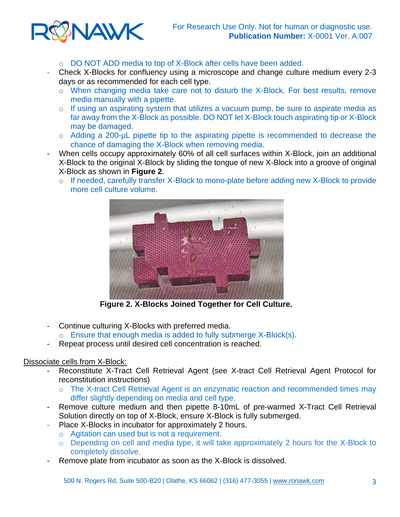

- o DO NOT ADD media to top of X-Block after cells have been added.
- Check X-Blocks for confluency using a microscope and change culture medium every 2-3 days or as recommended for each cell type.
	- o When changing media take care not to disturb the X-Block. For best results, remove media manually with a pipette.
	- o If using an aspirating system that utilizes a vacuum pump, be sure to aspirate media as far away from the X-Block as possible. DO NOT let X-Block touch aspirating tip or X-Block may be damaged.
	- o Adding a 200-µL pipette tip to the aspirating pipette is recommended to decrease the chance of damaging the X-Block when removing media.
- When cells occupy approximately 60% of all cell surfaces within X-Block, join an additional X-Block to the original X-Block by sliding the tongue of new X-Block into a groove of original X-Block as shown in **Figure 2**.
	- o If needed, carefully transfer X-Block to mono-plate before adding new X-Block to provide more cell culture volume.



 **Figure 2. X-Blocks Joined Together for Cell Culture.**

- Continue culturing X-Blocks with preferred media.
	- $\circ$  Ensure that enough media is added to fully submerge X-Block(s).
- Repeat process until desired cell concentration is reached.

#### Dissociate cells from X-Block:

- Reconstitute X-Tract Cell Retrieval Agent (see X-tract Cell Retrieval Agent Protocol for reconstitution instructions)
	- o The X-tract Cell Retrieval Agent is an enzymatic reaction and recommended times may differ slightly depending on media and cell type.
- Remove culture medium and then pipette 8-10mL of pre-warmed X-Tract Cell Retrieval Solution directly on top of X-Block, ensure X-Block is fully submerged.
- Place X-Blocks in incubator for approximately 2 hours.
	- o Agitation can used but is not a requirement.
	- o Depending on cell and media type, it will take approximately 2 hours for the X-Block to completely dissolve.
- Remove plate from incubator as soon as the X-Block is dissolved.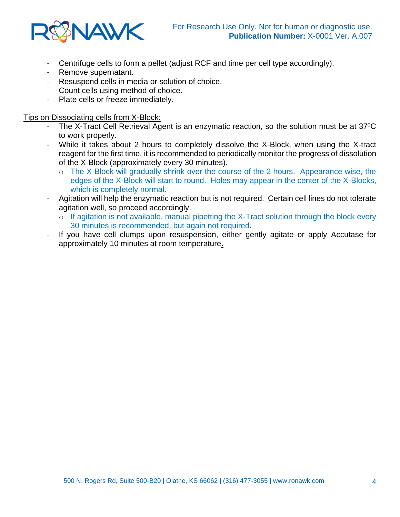

- Centrifuge cells to form a pellet (adjust RCF and time per cell type accordingly).
- Remove supernatant.
- Resuspend cells in media or solution of choice.
- Count cells using method of choice.
- Plate cells or freeze immediately.

#### Tips on Dissociating cells from X-Block:

- The X-Tract Cell Retrieval Agent is an enzymatic reaction, so the solution must be at 37ºC to work properly.
- While it takes about 2 hours to completely dissolve the X-Block, when using the X-tract reagent for the first time, it is recommended to periodically monitor the progress of dissolution of the X-Block (approximately every 30 minutes).
	- o The X-Block will gradually shrink over the course of the 2 hours. Appearance wise, the edges of the X-Block will start to round. Holes may appear in the center of the X-Blocks, which is completely normal.
- Agitation will help the enzymatic reaction but is not required. Certain cell lines do not tolerate agitation well, so proceed accordingly.
	- o If agitation is not available, manual pipetting the X-Tract solution through the block every 30 minutes is recommended, but again not required.
- If you have cell clumps upon resuspension, either gently agitate or apply Accutase for approximately 10 minutes at room temperature.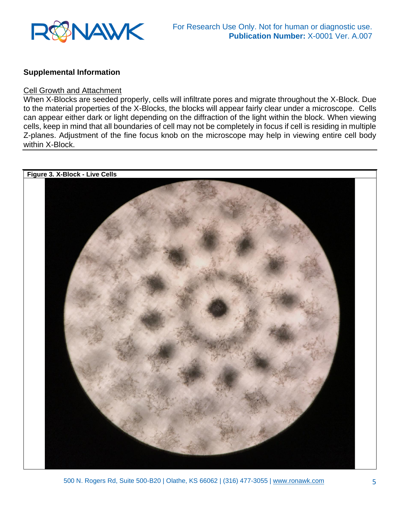

#### **Supplemental Information**

#### Cell Growth and Attachment

When X-Blocks are seeded properly, cells will infiltrate pores and migrate throughout the X-Block. Due to the material properties of the X-Blocks, the blocks will appear fairly clear under a microscope. Cells can appear either dark or light depending on the diffraction of the light within the block. When viewing cells, keep in mind that all boundaries of cell may not be completely in focus if cell is residing in multiple Z-planes. Adjustment of the fine focus knob on the microscope may help in viewing entire cell body within X-Block.

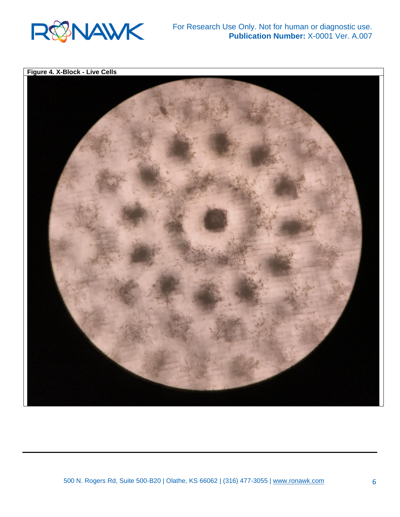

**Figure 4. X-Block - Live Cells**